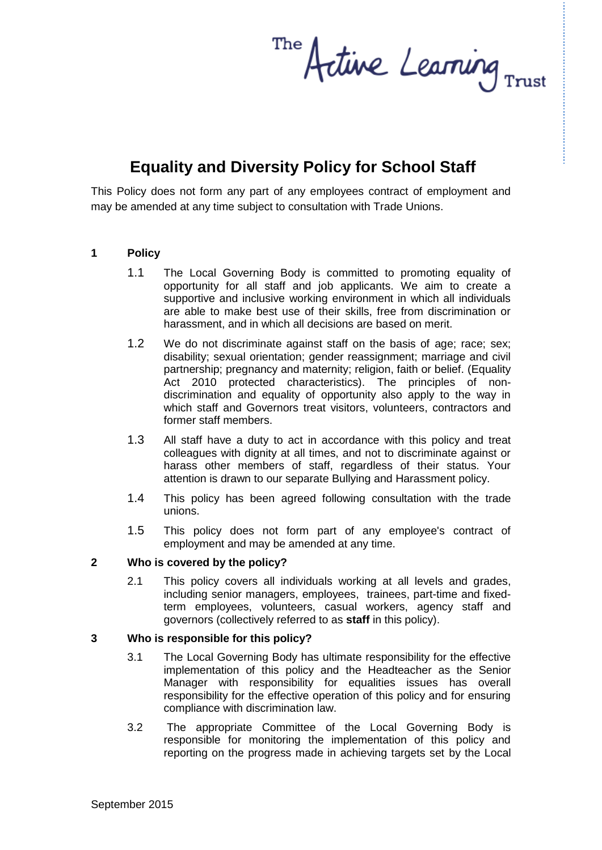The retive Learning  $_{\text{rust}}$ 

# **Equality and Diversity Policy for School Staff**

This Policy does not form any part of any employees contract of employment and may be amended at any time subject to consultation with Trade Unions.

#### **1 Policy**

- 1.1 The Local Governing Body is committed to promoting equality of opportunity for all staff and job applicants. We aim to create a supportive and inclusive working environment in which all individuals are able to make best use of their skills, free from discrimination or harassment, and in which all decisions are based on merit.
- 1.2 We do not discriminate against staff on the basis of age; race; sex; disability; sexual orientation; gender reassignment; marriage and civil partnership; pregnancy and maternity; religion, faith or belief. (Equality Act 2010 protected characteristics). The principles of nondiscrimination and equality of opportunity also apply to the way in which staff and Governors treat visitors, volunteers, contractors and former staff members.
- 1.3 All staff have a duty to act in accordance with this policy and treat colleagues with dignity at all times, and not to discriminate against or harass other members of staff, regardless of their status. Your attention is drawn to our separate Bullying and Harassment policy.
- 1.4 This policy has been agreed following consultation with the trade unions.
- 1.5 This policy does not form part of any employee's contract of employment and may be amended at any time.

#### **2 Who is covered by the policy?**

2.1 This policy covers all individuals working at all levels and grades, including senior managers, employees, trainees, part-time and fixedterm employees, volunteers, casual workers, agency staff and governors (collectively referred to as **staff** in this policy).

#### **3 Who is responsible for this policy?**

- 3.1 The Local Governing Body has ultimate responsibility for the effective implementation of this policy and the Headteacher as the Senior Manager with responsibility for equalities issues has overall responsibility for the effective operation of this policy and for ensuring compliance with discrimination law.
- 3.2 The appropriate Committee of the Local Governing Body is responsible for monitoring the implementation of this policy and reporting on the progress made in achieving targets set by the Local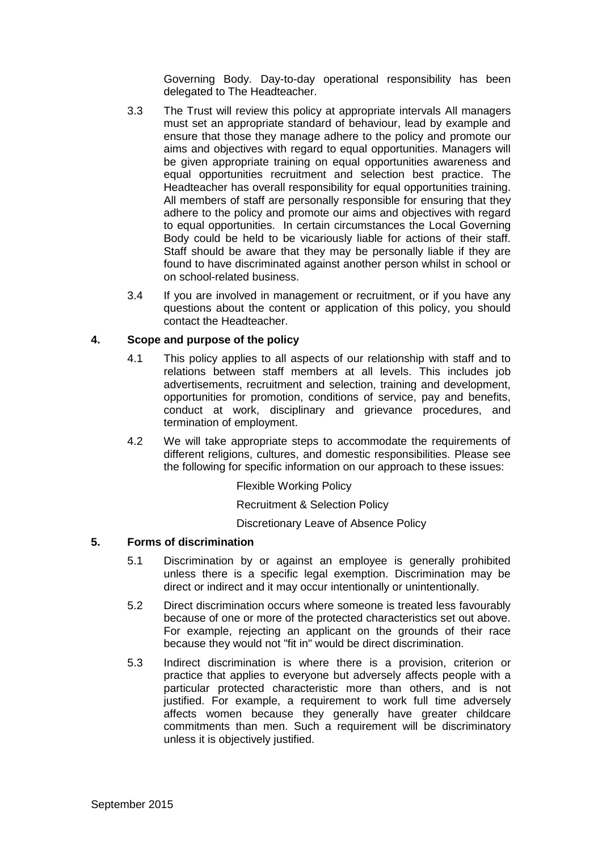Governing Body. Day-to-day operational responsibility has been delegated to The Headteacher.

- 3.3 The Trust will review this policy at appropriate intervals All managers must set an appropriate standard of behaviour, lead by example and ensure that those they manage adhere to the policy and promote our aims and objectives with regard to equal opportunities. Managers will be given appropriate training on equal opportunities awareness and equal opportunities recruitment and selection best practice. The Headteacher has overall responsibility for equal opportunities training. All members of staff are personally responsible for ensuring that they adhere to the policy and promote our aims and objectives with regard to equal opportunities. In certain circumstances the Local Governing Body could be held to be vicariously liable for actions of their staff. Staff should be aware that they may be personally liable if they are found to have discriminated against another person whilst in school or on school-related business.
- 3.4 If you are involved in management or recruitment, or if you have any questions about the content or application of this policy, you should contact the Headteacher.

#### **4. Scope and purpose of the policy**

- 4.1 This policy applies to all aspects of our relationship with staff and to relations between staff members at all levels. This includes job advertisements, recruitment and selection, training and development, opportunities for promotion, conditions of service, pay and benefits, conduct at work, disciplinary and grievance procedures, and termination of employment.
- 4.2 We will take appropriate steps to accommodate the requirements of different religions, cultures, and domestic responsibilities. Please see the following for specific information on our approach to these issues:

Flexible Working Policy

Recruitment & Selection Policy

Discretionary Leave of Absence Policy

#### **5. Forms of discrimination**

- 5.1 Discrimination by or against an employee is generally prohibited unless there is a specific legal exemption. Discrimination may be direct or indirect and it may occur intentionally or unintentionally.
- 5.2 Direct discrimination occurs where someone is treated less favourably because of one or more of the protected characteristics set out above. For example, rejecting an applicant on the grounds of their race because they would not "fit in" would be direct discrimination.
- 5.3 Indirect discrimination is where there is a provision, criterion or practice that applies to everyone but adversely affects people with a particular protected characteristic more than others, and is not justified. For example, a requirement to work full time adversely affects women because they generally have greater childcare commitments than men. Such a requirement will be discriminatory unless it is objectively justified.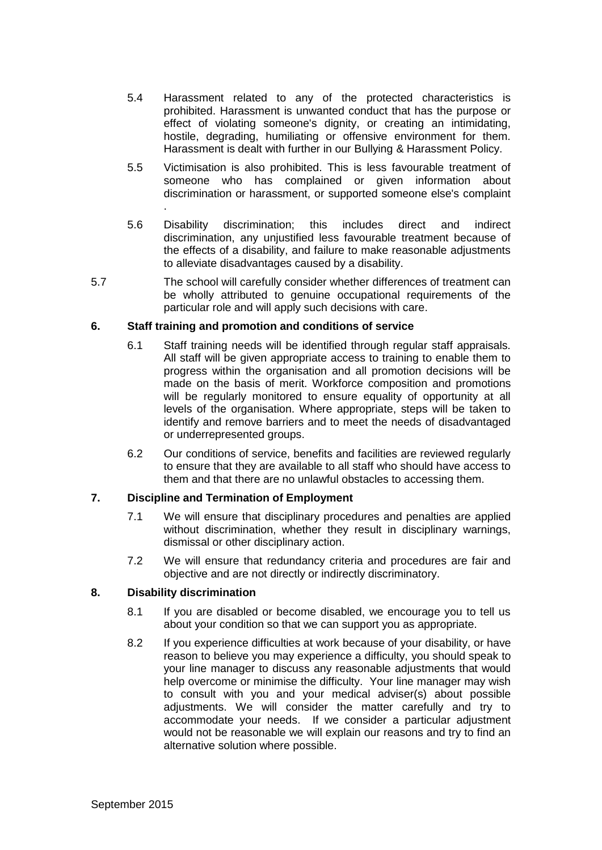- 5.4 Harassment related to any of the protected characteristics is prohibited. Harassment is unwanted conduct that has the purpose or effect of violating someone's dignity, or creating an intimidating, hostile, degrading, humiliating or offensive environment for them. Harassment is dealt with further in our Bullying & Harassment Policy.
- 5.5 Victimisation is also prohibited. This is less favourable treatment of someone who has complained or given information about discrimination or harassment, or supported someone else's complaint
- 5.6 Disability discrimination; this includes direct and indirect discrimination, any unjustified less favourable treatment because of the effects of a disability, and failure to make reasonable adjustments to alleviate disadvantages caused by a disability.
- 5.7 The school will carefully consider whether differences of treatment can be wholly attributed to genuine occupational requirements of the particular role and will apply such decisions with care.

#### **6. Staff training and promotion and conditions of service**

- 6.1 Staff training needs will be identified through regular staff appraisals. All staff will be given appropriate access to training to enable them to progress within the organisation and all promotion decisions will be made on the basis of merit. Workforce composition and promotions will be regularly monitored to ensure equality of opportunity at all levels of the organisation. Where appropriate, steps will be taken to identify and remove barriers and to meet the needs of disadvantaged or underrepresented groups.
- 6.2 Our conditions of service, benefits and facilities are reviewed regularly to ensure that they are available to all staff who should have access to them and that there are no unlawful obstacles to accessing them.

### **7. Discipline and Termination of Employment**

- 7.1 We will ensure that disciplinary procedures and penalties are applied without discrimination, whether they result in disciplinary warnings, dismissal or other disciplinary action.
- 7.2 We will ensure that redundancy criteria and procedures are fair and objective and are not directly or indirectly discriminatory.

#### **8. Disability discrimination**

.

- 8.1 If you are disabled or become disabled, we encourage you to tell us about your condition so that we can support you as appropriate.
- 8.2 If you experience difficulties at work because of your disability, or have reason to believe you may experience a difficulty, you should speak to your line manager to discuss any reasonable adjustments that would help overcome or minimise the difficulty. Your line manager may wish to consult with you and your medical adviser(s) about possible adjustments. We will consider the matter carefully and try to accommodate your needs. If we consider a particular adjustment would not be reasonable we will explain our reasons and try to find an alternative solution where possible.